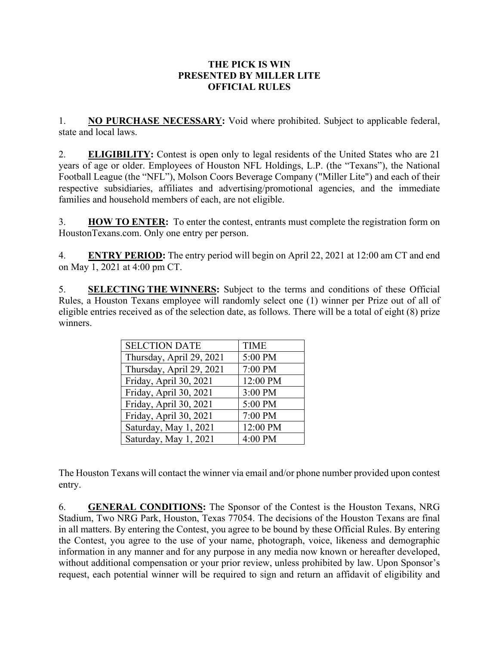## **THE PICK IS WIN PRESENTED BY MILLER LITE OFFICIAL RULES**

1. **NO PURCHASE NECESSARY:** Void where prohibited. Subject to applicable federal, state and local laws.

2. **ELIGIBILITY:** Contest is open only to legal residents of the United States who are 21 years of age or older. Employees of Houston NFL Holdings, L.P. (the "Texans"), the National Football League (the "NFL"), Molson Coors Beverage Company ("Miller Lite") and each of their respective subsidiaries, affiliates and advertising/promotional agencies, and the immediate families and household members of each, are not eligible.

3. **HOW TO ENTER:** To enter the contest, entrants must complete the registration form on HoustonTexans.com. Only one entry per person.

4. **ENTRY PERIOD:** The entry period will begin on April 22, 2021 at 12:00 am CT and end on May 1, 2021 at 4:00 pm CT.

5. **SELECTING THE WINNERS:** Subject to the terms and conditions of these Official Rules, a Houston Texans employee will randomly select one (1) winner per Prize out of all of eligible entries received as of the selection date, as follows. There will be a total of eight (8) prize winners.

| <b>SELCTION DATE</b>     | <b>TIME</b> |
|--------------------------|-------------|
| Thursday, April 29, 2021 | 5:00 PM     |
| Thursday, April 29, 2021 | 7:00 PM     |
| Friday, April 30, 2021   | 12:00 PM    |
| Friday, April 30, 2021   | 3:00 PM     |
| Friday, April 30, 2021   | 5:00 PM     |
| Friday, April 30, 2021   | 7:00 PM     |
| Saturday, May 1, 2021    | 12:00 PM    |
| Saturday, May 1, 2021    | 4:00 PM     |

The Houston Texans will contact the winner via email and/or phone number provided upon contest entry.

6. **GENERAL CONDITIONS:** The Sponsor of the Contest is the Houston Texans, NRG Stadium, Two NRG Park, Houston, Texas 77054. The decisions of the Houston Texans are final in all matters. By entering the Contest, you agree to be bound by these Official Rules. By entering the Contest, you agree to the use of your name, photograph, voice, likeness and demographic information in any manner and for any purpose in any media now known or hereafter developed, without additional compensation or your prior review, unless prohibited by law. Upon Sponsor's request, each potential winner will be required to sign and return an affidavit of eligibility and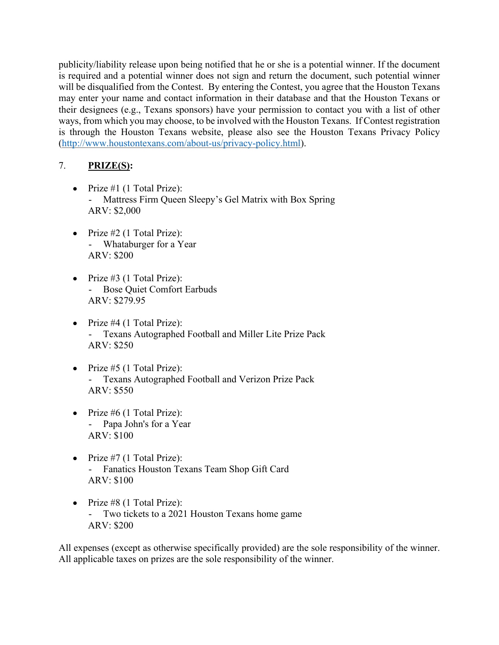publicity/liability release upon being notified that he or she is a potential winner. If the document is required and a potential winner does not sign and return the document, such potential winner will be disqualified from the Contest. By entering the Contest, you agree that the Houston Texans may enter your name and contact information in their database and that the Houston Texans or their designees (e.g., Texans sponsors) have your permission to contact you with a list of other ways, from which you may choose, to be involved with the Houston Texans. If Contest registration is through the Houston Texans website, please also see the Houston Texans Privacy Policy ([http://www.houstontexans.com/about-us/privacy-policy.html\)](http://www.houstontexans.com/about-us/privacy-policy.html).

## 7. **PRIZE(S):**

- Prize  $#1$  (1 Total Prize): - Mattress Firm Queen Sleepy's Gel Matrix with Box Spring ARV: \$2,000
- Prize  $#2$  (1 Total Prize): - Whataburger for a Year ARV: \$200
- Prize  $#3$  (1 Total Prize): - Bose Quiet Comfort Earbuds ARV: \$279.95
- Prize  $#4$  (1 Total Prize): Texans Autographed Football and Miller Lite Prize Pack ARV: \$250
- Prize  $#5$  (1 Total Prize): - Texans Autographed Football and Verizon Prize Pack ARV: \$550
- Prize  $#6$  (1 Total Prize): - Papa John's for a Year ARV: \$100
- Prize  $#7$  (1 Total Prize): - Fanatics Houston Texans Team Shop Gift Card ARV: \$100
- $\bullet$  Prize #8 (1 Total Prize): - Two tickets to a 2021 Houston Texans home game ARV: \$200

All expenses (except as otherwise specifically provided) are the sole responsibility of the winner. All applicable taxes on prizes are the sole responsibility of the winner.